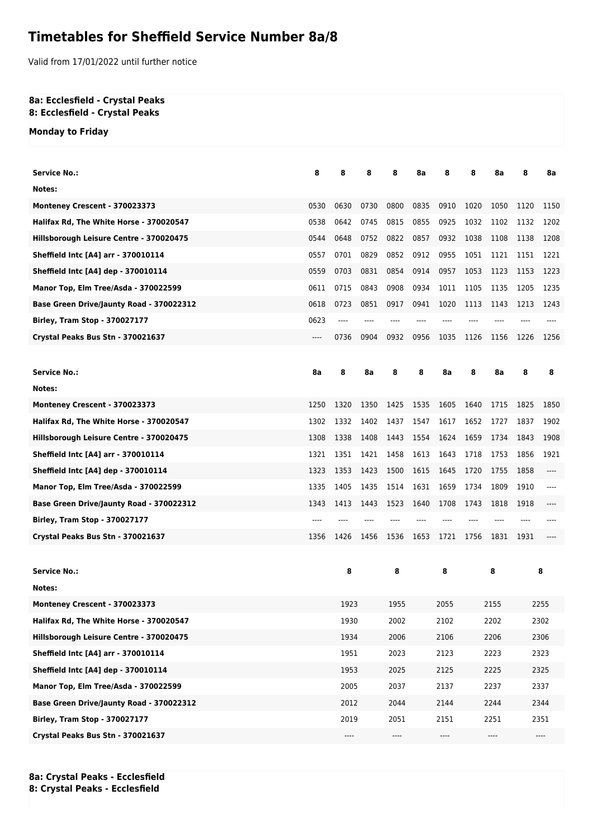## **Timetables for Sheffield Service Number 8a/8**

Valid from 17/01/2022 until further notice

## **8a: Ecclesfield - Crystal Peaks 8: Ecclesfield - Crystal Peaks**

**Monday to Friday**

| <b>Service No.:</b>                      | 8    | 8     | 8    | 8    | 8a   | 8    | 8    | 8а     | 8       | 8a   |  |
|------------------------------------------|------|-------|------|------|------|------|------|--------|---------|------|--|
| Notes:                                   |      |       |      |      |      |      |      |        |         |      |  |
| Monteney Crescent - 370023373            | 0530 | 0630  | 0730 | 0800 | 0835 | 0910 | 1020 | 1050   | 1120    | 1150 |  |
| Halifax Rd, The White Horse - 370020547  | 0538 | 0642  | 0745 | 0815 | 0855 | 0925 | 1032 | 1102   | 1132    | 1202 |  |
| Hillsborough Leisure Centre - 370020475  | 0544 | 0648  | 0752 | 0822 | 0857 | 0932 | 1038 | 1108   | 1138    | 1208 |  |
| Sheffield Intc [A4] arr - 370010114      | 0557 | 0701  | 0829 | 0852 | 0912 | 0955 | 1051 | 1121   | 1151    | 1221 |  |
| Sheffield Intc [A4] dep - 370010114      | 0559 | 0703  | 0831 | 0854 | 0914 | 0957 | 1053 | 1123   | 1153    | 1223 |  |
| Manor Top, Elm Tree/Asda - 370022599     | 0611 | 0715  | 0843 | 0908 | 0934 | 1011 | 1105 | 1135   | 1205    | 1235 |  |
| Base Green Drive/Jaunty Road - 370022312 | 0618 | 0723  | 0851 | 0917 | 0941 | 1020 | 1113 | 1143   | 1213    | 1243 |  |
| Birley, Tram Stop - 370027177            | 0623 | $---$ |      |      |      |      |      |        |         |      |  |
| Crystal Peaks Bus Stn - 370021637        | ---- | 0736  | 0904 | 0932 | 0956 | 1035 | 1126 | 1156   | 1226    | 1256 |  |
|                                          |      |       |      |      |      |      |      |        |         |      |  |
| <b>Service No.:</b>                      | 8a   | 8     | 8а   | 8    | 8    | 8a   | 8    | 8a     | 8       | 8    |  |
| Notes:                                   |      |       |      |      |      |      |      |        |         |      |  |
| Monteney Crescent - 370023373            | 1250 | 1320  | 1350 | 1425 | 1535 | 1605 | 1640 | 1715   | 1825    | 1850 |  |
| Halifax Rd, The White Horse - 370020547  | 1302 | 1332  | 1402 | 1437 | 1547 | 1617 | 1652 | 1727   | 1837    | 1902 |  |
| Hillsborough Leisure Centre - 370020475  | 1308 | 1338  | 1408 | 1443 | 1554 | 1624 | 1659 | 1734   | 1843    | 1908 |  |
| Sheffield Intc [A4] arr - 370010114      | 1321 | 1351  | 1421 | 1458 | 1613 | 1643 | 1718 | 1753   | 1856    | 1921 |  |
| Sheffield Intc [A4] dep - 370010114      | 1323 | 1353  | 1423 | 1500 | 1615 | 1645 | 1720 | 1755   | 1858    | ---- |  |
| Manor Top, Elm Tree/Asda - 370022599     | 1335 | 1405  | 1435 | 1514 | 1631 | 1659 | 1734 | 1809   | 1910    | ---- |  |
| Base Green Drive/Jaunty Road - 370022312 | 1343 | 1413  | 1443 | 1523 | 1640 | 1708 | 1743 | 1818   | 1918    |      |  |
| <b>Birley, Tram Stop - 370027177</b>     | ---- |       |      |      |      |      |      |        |         |      |  |
| Crystal Peaks Bus Stn - 370021637        | 1356 | 1426  | 1456 | 1536 | 1653 | 1721 | 1756 | 1831   | 1931    |      |  |
|                                          |      |       |      |      |      |      |      |        |         |      |  |
| <b>Service No.:</b>                      |      | 8     |      | 8    |      | 8    |      | 8<br>8 |         |      |  |
| Notes:                                   |      |       |      |      |      |      |      |        |         |      |  |
| Monteney Crescent - 370023373            |      | 1923  |      | 1955 |      | 2055 | 2155 |        | 2255    |      |  |
| Halifax Rd, The White Horse - 370020547  |      | 1930  |      | 2002 |      | 2102 | 2202 |        | 2302    |      |  |
| Hillsborough Leisure Centre - 370020475  |      | 1934  |      | 2006 |      | 2106 | 2206 |        | 2306    |      |  |
| Sheffield Intc [A4] arr - 370010114      |      | 1951  |      | 2023 |      | 2123 |      | 2223   | 2323    |      |  |
| Sheffield Intc [A4] dep - 370010114      |      | 1953  |      | 2025 |      | 2125 | 2225 |        | 2325    |      |  |
| Manor Top, Elm Tree/Asda - 370022599     |      | 2005  |      | 2037 |      | 2137 | 2237 |        | 2337    |      |  |
| Base Green Drive/Jaunty Road - 370022312 |      | 2012  |      | 2044 |      | 2144 | 2244 |        | 2344    |      |  |
| <b>Birley, Tram Stop - 370027177</b>     |      | 2019  |      | 2051 |      | 2151 | 2251 |        | 2351    |      |  |
| Crystal Peaks Bus Stn - 370021637        |      | ----  |      | ---- |      | ---- | ---- |        | $-----$ |      |  |